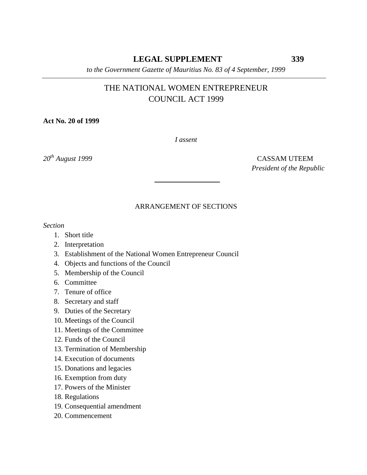# **LEGAL SUPPLEMENT 339**

*to the Government Gazette of Mauritius No. 83 of 4 September, 1999*

# THE NATIONAL WOMEN ENTREPRENEUR COUNCIL ACT 1999

**Act No. 20 of 1999**

*I assent*

*20th August 1999* CASSAM UTEEM *President of the Republic*

# ARRANGEMENT OF SECTIONS

*Section*

- 1. Short title
- 2. Interpretation
- 3. Establishment of the National Women Entrepreneur Council
- 4. Objects and functions of the Council
- 5. Membership of the Council
- 6. Committee
- 7. Tenure of office
- 8. Secretary and staff
- 9. Duties of the Secretary
- 10. Meetings of the Council
- 11. Meetings of the Committee
- 12. Funds of the Council
- 13. Termination of Membership
- 14. Execution of documents
- 15. Donations and legacies
- 16. Exemption from duty
- 17. Powers of the Minister
- 18. Regulations
- 19. Consequential amendment
- 20. Commencement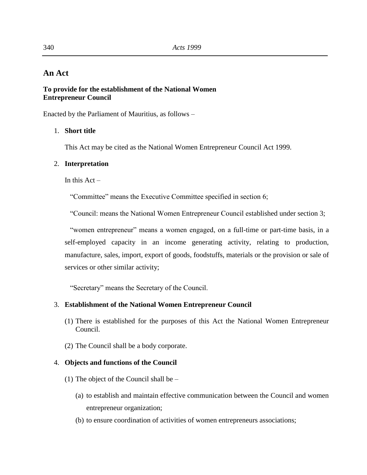# **An Act**

# **To provide for the establishment of the National Women Entrepreneur Council**

Enacted by the Parliament of Mauritius, as follows –

# 1. **Short title**

This Act may be cited as the National Women Entrepreneur Council Act 1999.

# 2. **Interpretation**

In this  $Act -$ 

"Committee" means the Executive Committee specified in section 6;

"Council: means the National Women Entrepreneur Council established under section 3;

 "women entrepreneur" means a women engaged, on a full-time or part-time basis, in a self-employed capacity in an income generating activity, relating to production, manufacture, sales, import, export of goods, foodstuffs, materials or the provision or sale of services or other similar activity;

"Secretary" means the Secretary of the Council.

# 3. **Establishment of the National Women Entrepreneur Council**

- (1) There is established for the purposes of this Act the National Women Entrepreneur Council.
- (2) The Council shall be a body corporate.

# 4. **Objects and functions of the Council**

- (1) The object of the Council shall be
	- (a) to establish and maintain effective communication between the Council and women entrepreneur organization;
	- (b) to ensure coordination of activities of women entrepreneurs associations;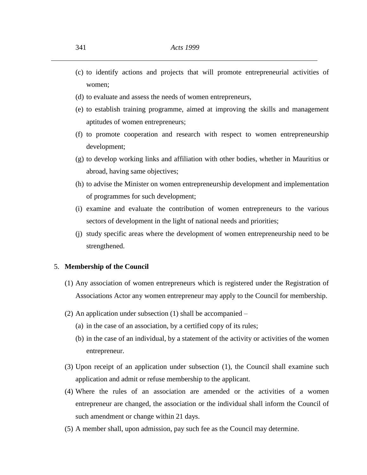- (c) to identify actions and projects that will promote entrepreneurial activities of women;
- (d) to evaluate and assess the needs of women entrepreneurs,
- (e) to establish training programme, aimed at improving the skills and management aptitudes of women entrepreneurs;
- (f) to promote cooperation and research with respect to women entrepreneurship development;
- (g) to develop working links and affiliation with other bodies, whether in Mauritius or abroad, having same objectives;
- (h) to advise the Minister on women entrepreneurship development and implementation of programmes for such development;
- (i) examine and evaluate the contribution of women entrepreneurs to the various sectors of development in the light of national needs and priorities;
- (j) study specific areas where the development of women entrepreneurship need to be strengthened.

### 5. **Membership of the Council**

- (1) Any association of women entrepreneurs which is registered under the Registration of Associations Actor any women entrepreneur may apply to the Council for membership.
- (2) An application under subsection (1) shall be accompanied
	- (a) in the case of an association, by a certified copy of its rules;
	- (b) in the case of an individual, by a statement of the activity or activities of the women entrepreneur.
- (3) Upon receipt of an application under subsection (1), the Council shall examine such application and admit or refuse membership to the applicant.
- (4) Where the rules of an association are amended or the activities of a women entrepreneur are changed, the association or the individual shall inform the Council of such amendment or change within 21 days.
- (5) A member shall, upon admission, pay such fee as the Council may determine.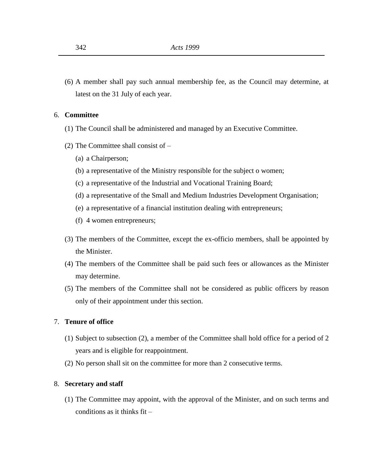(6) A member shall pay such annual membership fee, as the Council may determine, at latest on the 31 July of each year.

# 6. **Committee**

- (1) The Council shall be administered and managed by an Executive Committee.
- (2) The Committee shall consist of
	- (a) a Chairperson;
	- (b) a representative of the Ministry responsible for the subject o women;
	- (c) a representative of the Industrial and Vocational Training Board;
	- (d) a representative of the Small and Medium Industries Development Organisation;
	- (e) a representative of a financial institution dealing with entrepreneurs;
	- (f) 4 women entrepreneurs;
- (3) The members of the Committee, except the ex-officio members, shall be appointed by the Minister.
- (4) The members of the Committee shall be paid such fees or allowances as the Minister may determine.
- (5) The members of the Committee shall not be considered as public officers by reason only of their appointment under this section.

# 7. **Tenure of office**

- (1) Subject to subsection (2), a member of the Committee shall hold office for a period of 2 years and is eligible for reappointment.
- (2) No person shall sit on the committee for more than 2 consecutive terms.

#### 8. **Secretary and staff**

(1) The Committee may appoint, with the approval of the Minister, and on such terms and conditions as it thinks fit –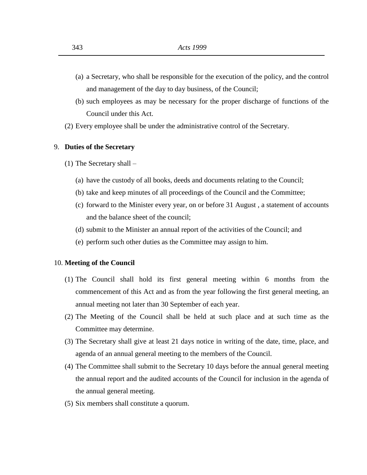- (a) a Secretary, who shall be responsible for the execution of the policy, and the control and management of the day to day business, of the Council;
- (b) such employees as may be necessary for the proper discharge of functions of the Council under this Act.
- (2) Every employee shall be under the administrative control of the Secretary.

#### 9. **Duties of the Secretary**

- (1) The Secretary shall
	- (a) have the custody of all books, deeds and documents relating to the Council;
	- (b) take and keep minutes of all proceedings of the Council and the Committee;
	- (c) forward to the Minister every year, on or before 31 August , a statement of accounts and the balance sheet of the council;
	- (d) submit to the Minister an annual report of the activities of the Council; and
	- (e) perform such other duties as the Committee may assign to him.

#### 10. **Meeting of the Council**

- (1) The Council shall hold its first general meeting within 6 months from the commencement of this Act and as from the year following the first general meeting, an annual meeting not later than 30 September of each year.
- (2) The Meeting of the Council shall be held at such place and at such time as the Committee may determine.
- (3) The Secretary shall give at least 21 days notice in writing of the date, time, place, and agenda of an annual general meeting to the members of the Council.
- (4) The Committee shall submit to the Secretary 10 days before the annual general meeting the annual report and the audited accounts of the Council for inclusion in the agenda of the annual general meeting.
- (5) Six members shall constitute a quorum.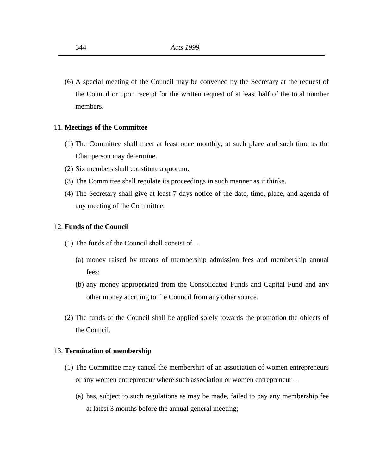(6) A special meeting of the Council may be convened by the Secretary at the request of the Council or upon receipt for the written request of at least half of the total number members.

# 11. **Meetings of the Committee**

- (1) The Committee shall meet at least once monthly, at such place and such time as the Chairperson may determine.
- (2) Six members shall constitute a quorum.
- (3) The Committee shall regulate its proceedings in such manner as it thinks.
- (4) The Secretary shall give at least 7 days notice of the date, time, place, and agenda of any meeting of the Committee.

#### 12. **Funds of the Council**

- (1) The funds of the Council shall consist of
	- (a) money raised by means of membership admission fees and membership annual fees;
	- (b) any money appropriated from the Consolidated Funds and Capital Fund and any other money accruing to the Council from any other source.
- (2) The funds of the Council shall be applied solely towards the promotion the objects of the Council.

#### 13. **Termination of membership**

- (1) The Committee may cancel the membership of an association of women entrepreneurs or any women entrepreneur where such association or women entrepreneur –
	- (a) has, subject to such regulations as may be made, failed to pay any membership fee at latest 3 months before the annual general meeting;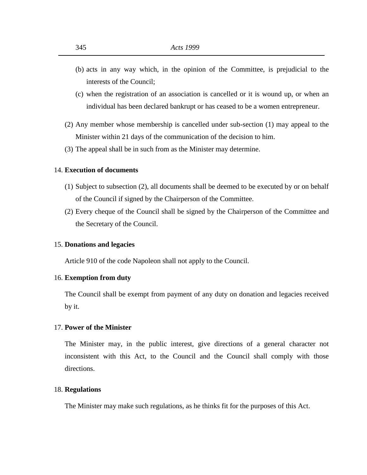- (b) acts in any way which, in the opinion of the Committee, is prejudicial to the interests of the Council;
- (c) when the registration of an association is cancelled or it is wound up, or when an individual has been declared bankrupt or has ceased to be a women entrepreneur.
- (2) Any member whose membership is cancelled under sub-section (1) may appeal to the Minister within 21 days of the communication of the decision to him.
- (3) The appeal shall be in such from as the Minister may determine.

#### 14. **Execution of documents**

- (1) Subject to subsection (2), all documents shall be deemed to be executed by or on behalf of the Council if signed by the Chairperson of the Committee.
- (2) Every cheque of the Council shall be signed by the Chairperson of the Committee and the Secretary of the Council.

#### 15. **Donations and legacies**

Article 910 of the code Napoleon shall not apply to the Council.

#### 16. **Exemption from duty**

The Council shall be exempt from payment of any duty on donation and legacies received by it.

## 17. **Power of the Minister**

The Minister may, in the public interest, give directions of a general character not inconsistent with this Act, to the Council and the Council shall comply with those directions.

#### 18. **Regulations**

The Minister may make such regulations, as he thinks fit for the purposes of this Act.